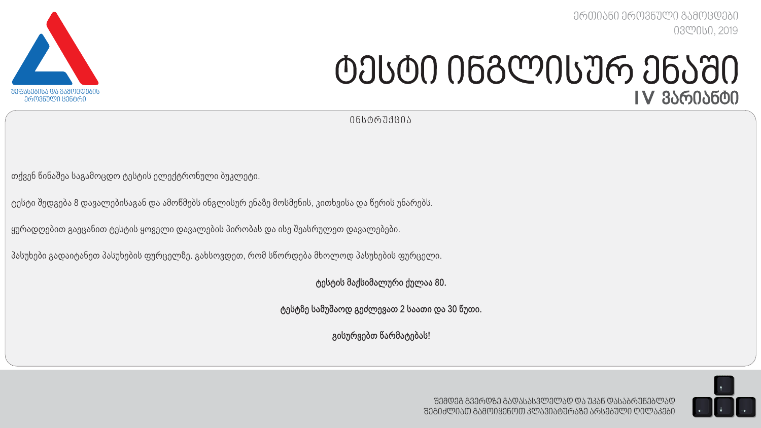*ერთიანი ეროვნული გამოცდები ივლისი, 2019*



# *ტესტი ინგლისურ ენაში I V ვარიანტი*

*ინსტრუქცია*

თქვენ წინაშეა საგამოცდო ტესტის ელექტრონული ბუკლეტი.

ტესტი შედგება 8 დავალებისაგან და ამოწმებს ინგლისურ ენაზე მოსმენის, კითხვისა და წერის უნარებს.

ყურადღებით გაეცანით ტესტის ყოველი დავალების პირობას და ისე შეასრულეთ დავალებები.

პასუხები გადაიტანეთ პასუხების ფურცელზე. გახსოვდეთ, რომ სწორდება მხოლოდ პასუხების ფურცელი.

ტესტის მაქსიმალური ქულაა 80.

ტესტზე სამუშაოდ გეძლევათ 2 საათი და 30 წუთი.

გისურვებთ წარმატებას!

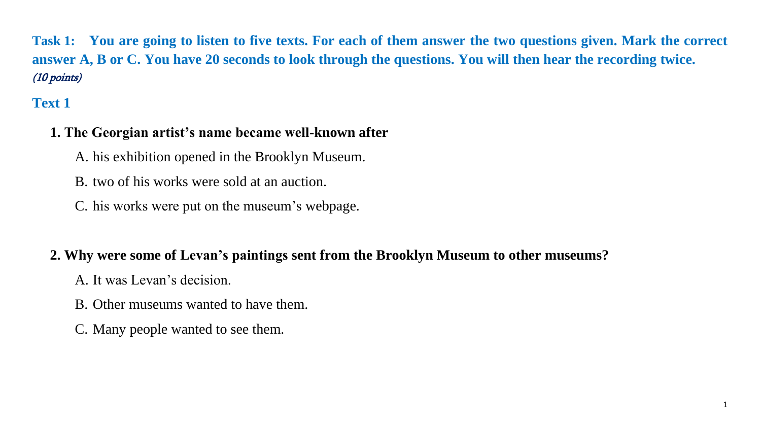**Task 1: You are going to listen to five texts. For each of them answer the two questions given. Mark the correct answer A, B or C. You have 20 seconds to look through the questions. You will then hear the recording twice.**  (10 points)

# **Text 1**

# **1. The Georgian artist's name became well-known after**

A. his exhibition opened in the Brooklyn Museum.

B. two of his works were sold at an auction.

C. his works were put on the museum's webpage.

# **2. Why were some of Levan's paintings sent from the Brooklyn Museum to other museums?**

A. It was Levan's decision.

- B. Other museums wanted to have them.
- C. Many people wanted to see them.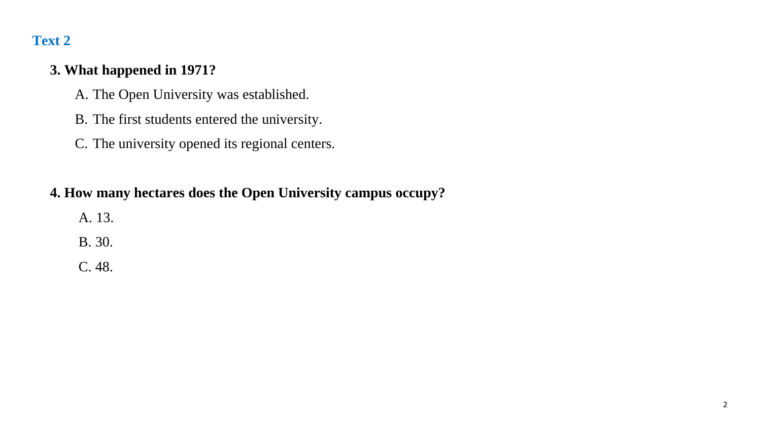# **3. What happened in 1971?**

- A. The Open University was established.
- B. The first students entered the university.
- C. The university opened its regional centers.

# **4. How many hectares does the Open University campus occupy?**

- A. 13.
- B. 30.
- C. 48.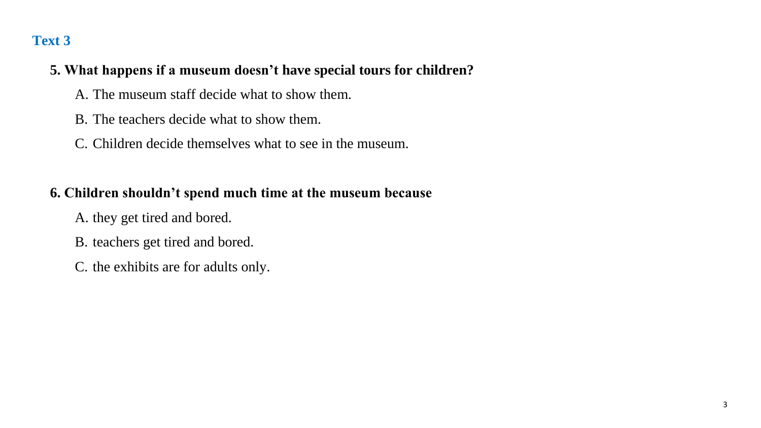# **5. What happens if a museum doesn't have special tours for children?**

- A. The museum staff decide what to show them.
- B. The teachers decide what to show them.
- C. Children decide themselves what to see in the museum.

# **6. Children shouldn't spend much time at the museum because**

- A. they get tired and bored.
- B. teachers get tired and bored.
- C. the exhibits are for adults only.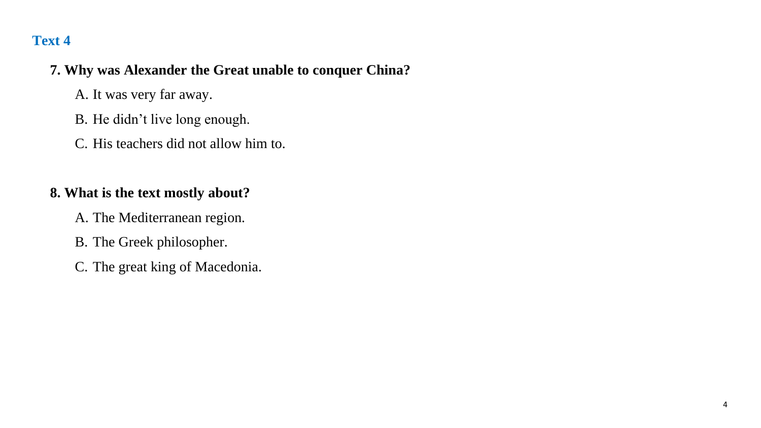## **7. Why was Alexander the Great unable to conquer China?**

- A. It was very far away.
- B. He didn't live long enough.
- C. His teachers did not allow him to.

# **8. What is the text mostly about?**

- A. The Mediterranean region.
- B. The Greek philosopher.
- C. The great king of Macedonia.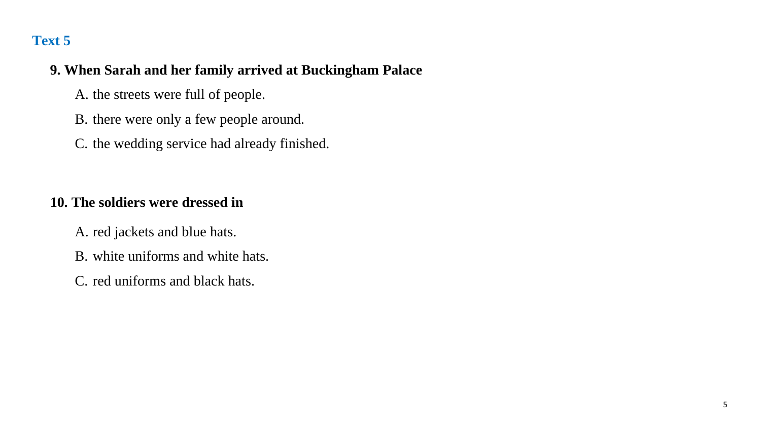# **9. When Sarah and her family arrived at Buckingham Palace**

- A. the streets were full of people.
- B. there were only a few people around.
- C. the wedding service had already finished.

# **10. The soldiers were dressed in**

- A. red jackets and blue hats.
- B. white uniforms and white hats.
- C. red uniforms and black hats.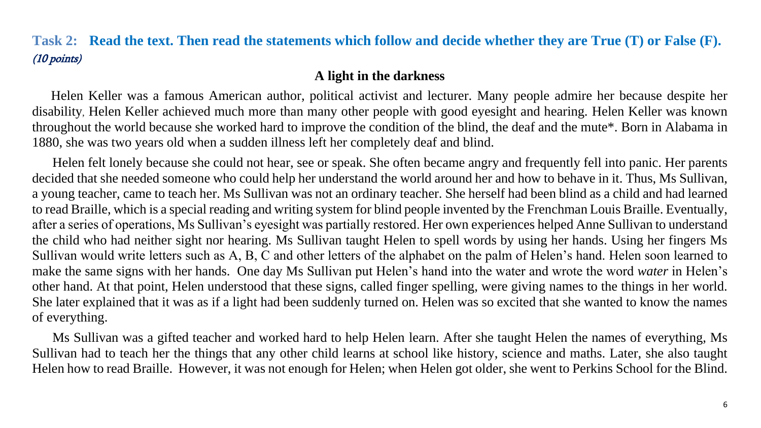# **Task 2: Read the text. Then read the statements which follow and decide whether they are True (T) or False (F).** (10 points)

#### **A light in the darkness**

 Helen Keller was a famous American author, political activist and lecturer. Many people admire her because despite her disability, Helen Keller achieved much more than many other people with good eyesight and hearing. Helen Keller was known throughout the world because she worked hard to improve the condition of the blind, the deaf and the mute\*. Born in Alabama in 1880, she was two years old when a sudden illness left her completely deaf and blind.

 Helen felt lonely because she could not hear, see or speak. She often became angry and frequently fell into panic. Her parents decided that she needed someone who could help her understand the world around her and how to behave in it. Thus, Ms Sullivan, a young teacher, came to teach her. Ms Sullivan was not an ordinary teacher. She herself had been blind as a child and had learned to read Braille, which is a special reading and writing system for blind people invented by the Frenchman Louis Braille. Eventually, after a series of operations, Ms Sullivan's eyesight was partially restored. Her own experiences helped Anne Sullivan to understand the child who had neither sight nor hearing. Ms Sullivan taught Helen to spell words by using her hands. Using her fingers Ms Sullivan would write letters such as A, B, C and other letters of the alphabet on the palm of Helen's hand. Helen soon learned to make the same signs with her hands. One day Ms Sullivan put Helen's hand into the water and wrote the word *water* in Helen's other hand. At that point, Helen understood that these signs, called finger spelling, were giving names to the things in her world. She later explained that it was as if a light had been suddenly turned on. Helen was so excited that she wanted to know the names of everything.

 Ms Sullivan was a gifted teacher and worked hard to help Helen learn. After she taught Helen the names of everything, Ms Sullivan had to teach her the things that any other child learns at school like history, science and maths. Later, she also taught Helen how to read Braille. However, it was not enough for Helen; when Helen got older, she went to Perkins School for the Blind.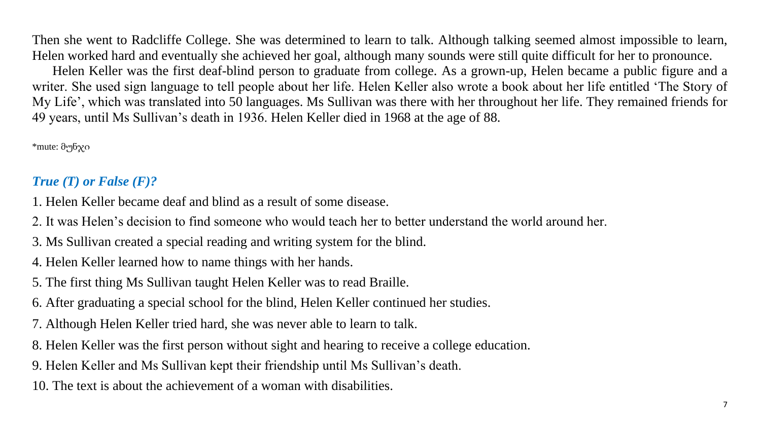Then she went to Radcliffe College. She was determined to learn to talk. Although talking seemed almost impossible to learn, Helen worked hard and eventually she achieved her goal, although many sounds were still quite difficult for her to pronounce.

 Helen Keller was the first deaf-blind person to graduate from college. As a grown-up, Helen became a public figure and a writer. She used sign language to tell people about her life. Helen Keller also wrote a book about her life entitled 'The Story of My Life', which was translated into 50 languages. Ms Sullivan was there with her throughout her life. They remained friends for 49 years, until Ms Sullivan's death in 1936. Helen Keller died in 1968 at the age of 88.

\*mute: მუნჯი

# *True (T) or False (F)?*

- 1. Helen Keller became deaf and blind as a result of some disease.
- 2. It was Helen's decision to find someone who would teach her to better understand the world around her.
- 3. Ms Sullivan created a special reading and writing system for the blind.
- 4. Helen Keller learned how to name things with her hands.
- 5. The first thing Ms Sullivan taught Helen Keller was to read Braille.
- 6. After graduating a special school for the blind, Helen Keller continued her studies.
- 7. Although Helen Keller tried hard, she was never able to learn to talk.
- 8. Helen Keller was the first person without sight and hearing to receive a college education.
- 9. Helen Keller and Ms Sullivan kept their friendship until Ms Sullivan's death.
- 10. The text is about the achievement of a woman with disabilities.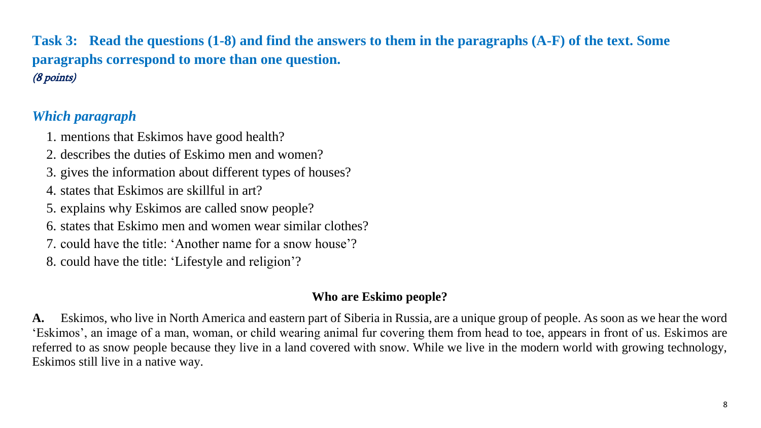**Task 3: Read the questions (1-8) and find the answers to them in the paragraphs (A-F) of the text. Some paragraphs correspond to more than one question.**  (8 points)

# *Which paragraph*

1. mentions that Eskimos have good health?

- 2. describes the duties of Eskimo men and women?
- 3. gives the information about different types of houses?
- 4. states that Eskimos are skillful in art?
- 5. explains why Eskimos are called snow people?
- 6. states that Eskimo men and women wear similar clothes?
- 7. could have the title: 'Another name for a snow house'?
- 8. could have the title: 'Lifestyle and religion'?

## **Who are Eskimo people?**

**A.** Eskimos, who live in North America and eastern part of Siberia in Russia, are a unique group of people. As soon as we hear the word 'Eskimos', an image of a man, woman, or child wearing animal fur covering them from head to toe, appears in front of us. Eskimos are referred to as snow people because they live in a land covered with snow. While we live in the modern world with growing technology, Eskimos still live in a native way.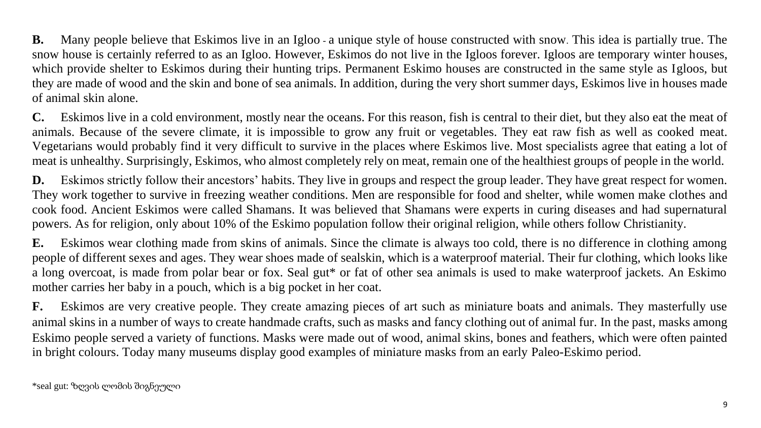**B.** Many people believe that Eskimos live in an Igloo - a unique style of house constructed with snow. This idea is partially true. The snow house is certainly referred to as an Igloo. However, Eskimos do not live in the Igloos forever. Igloos are temporary winter houses, which provide shelter to Eskimos during their hunting trips. Permanent Eskimo houses are constructed in the same style as Igloos, but they are made of wood and the skin and bone of sea animals. In addition, during the very short summer days, Eskimos live in houses made of animal skin alone.

**C.** Eskimos live in a cold environment, mostly near the oceans. For this reason, fish is central to their diet, but they also eat the meat of animals. Because of the severe climate, it is impossible to grow any fruit or vegetables. They eat raw fish as well as cooked meat. Vegetarians would probably find it very difficult to survive in the places where Eskimos live. Most specialists agree that eating a lot of meat is unhealthy. Surprisingly, Eskimos, who almost completely rely on meat, remain one of the healthiest groups of people in the world.

**D.** Eskimos strictly follow their ancestors' habits. They live in groups and respect the group leader. They have great respect for women. They work together to survive in freezing weather conditions. Men are responsible for food and shelter, while women make clothes and cook food. Ancient Eskimos were called Shamans. It was believed that Shamans were experts in curing diseases and had supernatural powers. As for religion, only about 10% of the Eskimo population follow their original religion, while others follow Christianity.

**E.** Eskimos wear clothing made from skins of animals. Since the climate is always too cold, there is no difference in clothing among people of different sexes and ages. They wear shoes made of sealskin, which is a waterproof material. Their fur clothing, which looks like a long overcoat, is made from polar bear or fox. Seal gut\* or fat of other sea animals is used to make waterproof jackets. An Eskimo mother carries her baby in a pouch, which is a big pocket in her coat.

**F.** Eskimos are very creative people. They create amazing pieces of art such as miniature boats and animals. They masterfully use animal skins in a number of ways to create handmade crafts, such as masks and fancy clothing out of animal fur. In the past, masks among Eskimo people served a variety of functions. Masks were made out of wood, animal skins, bones and feathers, which were often painted in bright colours. Today many museums display good examples of miniature masks from an early [Paleo-Eskimo](https://en.wikipedia.org/wiki/Paleo-Eskimo) period.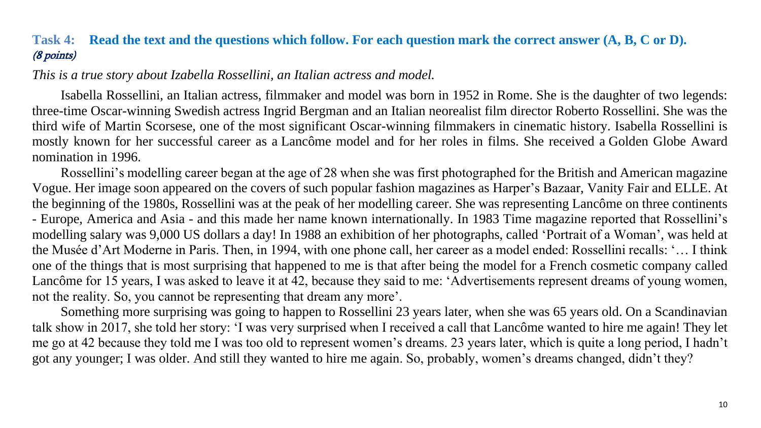## **Task 4: Read the text and the questions which follow. For each question mark the correct answer (A, B, C or D).** (8 points)

<span id="page-10-0"></span>*This is a true story about Izabella Rossellini, an Italian actress and model.*

Isabella Rossellini, an Italian actress, filmmaker and model was born in 1952 in Rome. She is the daughter of two legends: three-time Oscar-winning Swedish actress Ingrid Bergman and an Italian neorealist film director Roberto Rossellini. She was the third wife of Martin Scorsese, one of the most significant Oscar-winning filmmakers in cinematic history. Isabella Rossellini is mostly known for her successful career as a [Lancôme](https://en.wikipedia.org/wiki/Lanc%C3%B4me) model and for her roles in films. She received a [Golden Globe Award](https://en.wikipedia.org/wiki/Golden_Globe_Award) nomination in 1996.

Rossellini's modelling career began at the age of 28 when she was first photographed for the British [and American magazine](https://en.wikipedia.org/wiki/Vogue_(magazine))  [Vogue.](https://en.wikipedia.org/wiki/Vogue_(magazine)) Her image soon appeared on the covers of such popular fashion magazines as [Harper's Bazaar,](https://en.wikipedia.org/wiki/Harper%27s_Bazaar) [Vanity Fair](https://en.wikipedia.org/wiki/Vanity_Fair_(magazine)) and [ELLE.](https://en.wikipedia.org/wiki/ELLE) At the beginning of the 1980s, Rossellini was at the peak of her modelling career. She was representing [Lancôme](https://en.wikipedia.org/wiki/Lanc%C3%B4me) on three continents - Europe, America and Asia - and this made her name known internationally. In 1983 Time magazine reported that Rossellini's modelling salary was 9,000 US dollars a day! In 1988 an exhibition of her photographs, called 'Portrait of a Woman', was held at the Musée d'Art Moderne in Paris. Then, in 1994, with one phone call, her career as a model ended: Rossellini recalls: '… I think one of the things that is most surprising that happened to me is that after being the model for a French cosmetic company called [Lancôme](https://en.wikipedia.org/wiki/Lanc%C3%B4me) for 15 years, I was asked to leave it at 42, because they said to me: 'Advertisements represent dreams of young women, not the reality. So, you cannot be representing that dream any more'.

Something more surprising was going to happen to Rossellini 23 years later, when she was 65 years old. On a Scandinavian talk show in 2017, she told her story: 'I was very surprised when I received a call that [Lancôme](https://en.wikipedia.org/wiki/Lanc%C3%B4me) wanted to hire me again! They let me go at 42 because they told me I was too old to represent women's dreams. 23 years later, which is quite a long period, I hadn't got any younger; I was older. And still they wanted to hire me again. So, probably, women's dreams changed, didn't they?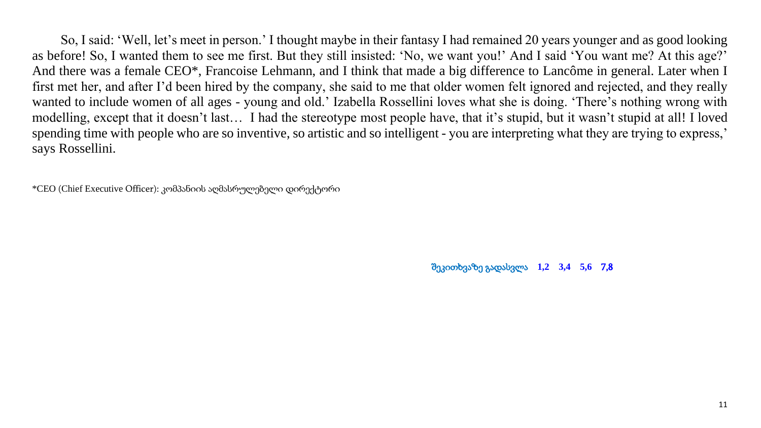So, I said: 'Well, let's meet in person.' I thought maybe in their fantasy I had remained 20 years younger and as good looking as before! So, I wanted them to see me first. But they still insisted: 'No, we want you!' And I said 'You want me? At this age?' And there was a female CEO\*, Francoise Lehmann, and I think that made a big difference to [Lancôme](https://en.wikipedia.org/wiki/Lanc%C3%B4me) in general. Later when I first met her, and after I'd been hired by the company, she said to me that older women felt ignored and rejected, and they really wanted to include women of all ages - young and old.' Izabella Rossellini loves what she is doing. 'There's nothing wrong with modelling, except that it doesn't last… I had the stereotype most people have, that it's stupid, but it wasn't stupid at all! I loved spending time with people who are so inventive, so artistic and so intelligent - you are interpreting what they are trying to express,' says Rossellini.

\*CEO (Chief Executive Officer): კომპანიის აღმასრულებელი დირექტორი

შეკითხვაზე გადასვლა **[1,2](#page-12-0) [3,4](#page-13-0) [5,6](#page-14-0)** [7,8](#page-14-1)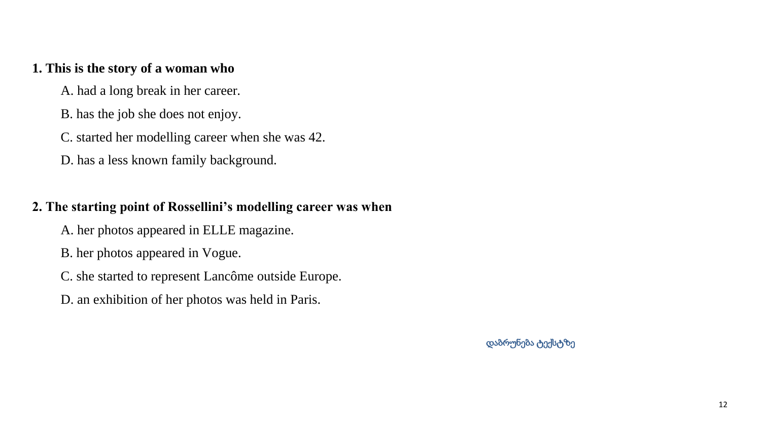## <span id="page-12-0"></span>**1. This is the story of a woman who**

- A. had a long break in her career.
- B. has the job she does not enjoy.
- C. started her modelling career when she was 42.
- D. has a less known family background.

## **2. The starting point of Rossellini's modelling career was when**

- A. her photos appeared in ELLE magazine.
- B. her photos appeared in Vogue.
- C. she started to represent [Lancôme](https://en.wikipedia.org/wiki/Lanc%C3%B4me) outside Europe.
- D. an exhibition of her photos was held in Paris.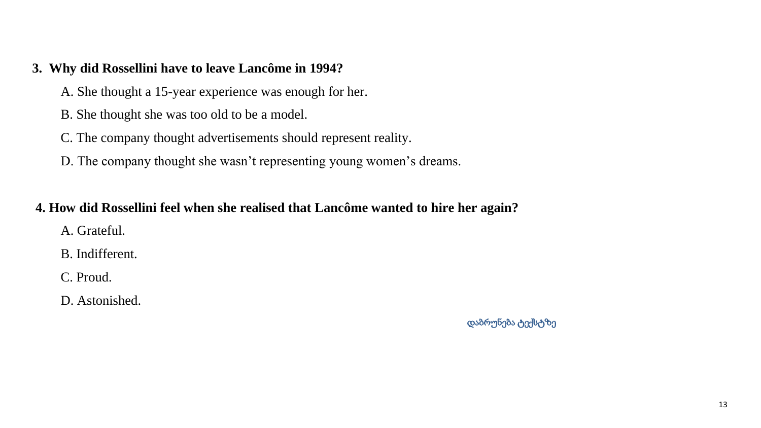## <span id="page-13-0"></span>**3. Why did Rossellini have to leave [Lancôme](https://en.wikipedia.org/wiki/Lanc%C3%B4me) in 1994?**

- A. She thought a 15-year experience was enough for her.
- B. She thought she was too old to be a model.
- C. The company thought advertisements should represent reality.
- D. The company thought she wasn't representing young women's dreams.

## **4. How did Rossellini feel when she realised that [Lancôme](https://en.wikipedia.org/wiki/Lanc%C3%B4me) wanted to hire her again?**

- A. Grateful.
- B. Indifferent.
- C. Proud.
- D. Astonished.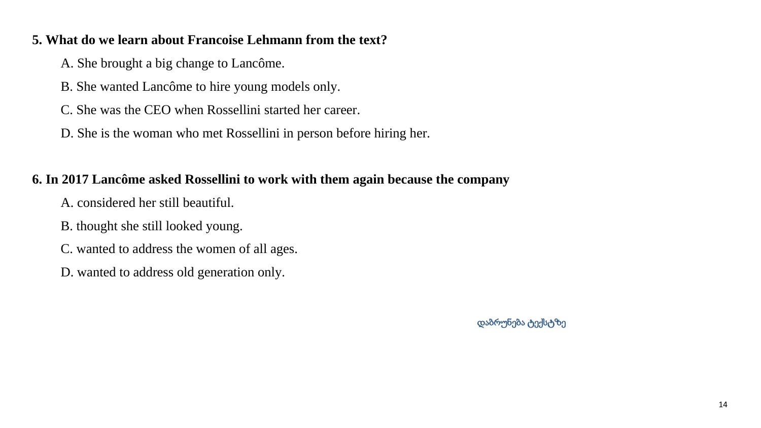## <span id="page-14-0"></span>**5. What do we learn about Francoise Lehmann from the text?**

A. She brought a big change to [Lancôme.](https://en.wikipedia.org/wiki/Lanc%C3%B4me)

- B. She wanted [Lancôme](https://en.wikipedia.org/wiki/Lanc%C3%B4me) to hire young models only.
- C. She was the CEO when Rossellini started her career.
- D. She is the woman who met Rossellini in person before hiring her.

# **6. In 2017 Lancôme asked Rossellini to work with them again because the company**

- A. considered her still beautiful.
- B. thought she still looked young.
- C. wanted to address the women of all ages.
- <span id="page-14-1"></span>D. wanted to address old generation only.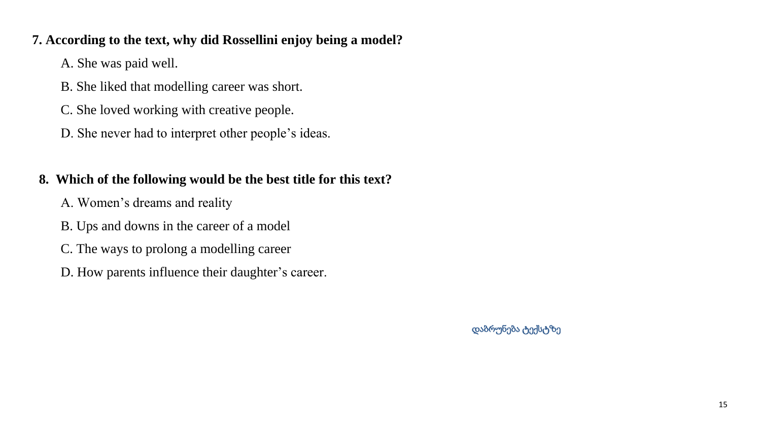## **7. According to the text, why did Rossellini enjoy being a model?**

A. She was paid well.

- B. She liked that modelling career was short.
- C. She loved working with creative people.
- D. She never had to interpret other people's ideas.

# **8. Which of the following would be the best title for this text?**

- A. Women's dreams and reality
- B. Ups and downs in the career of a model
- C. The ways to prolong a modelling career
- D. How parents influence their daughter's career.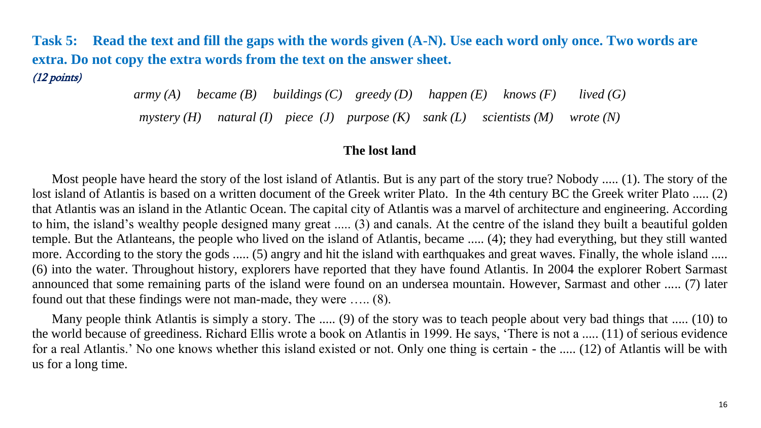**Task 5: Read the text and fill the gaps with the words given (A-N). Use each word only once. Two words are extra. Do not copy the extra words from the text on the answer sheet.** (12 points)

*army (A) became (B) buildings (C) greedy (D) happen (E) knows (F) lived (G)*

*mystery (H) natural (I) piece (J) purpose (K) sank (L) scientists (M) wrote (N)*

#### **The lost land**

 Most people have heard the story of the lost island of Atlantis. But is any part of the story true? Nobody ..... (1). The story of the lost island of Atlantis is based on a written document of the Greek writer Plato. In the 4th century BC the Greek writer Plato ..... (2) that Atlantis was an island in the Atlantic Ocean. The capital city of Atlantis was a marvel of architecture and engineering. According to him, the island's wealthy people designed many great ..... (3) and canals. At the centre of the island they built a beautiful golden temple. But the Atlanteans, the people who lived on the island of Atlantis, became ..... (4); they had everything, but they still wanted more. According to the story the gods ..... (5) angry and hit the island with earthquakes and great waves. Finally, the whole island ..... (6) into the water. Throughout history, explorers have reported that they have found Atlantis. In 2004 the explorer Robert Sarmast announced that some remaining parts of the island were found on an undersea mountain. However, Sarmast and other ..... (7) later found out that these findings were not man-made, they were ….. (8).

 Many people think Atlantis is simply a story. The ..... (9) of the story was to teach people about very bad things that ..... (10) to the world because of greediness. Richard Ellis wrote a book on Atlantis in 1999. He says, 'There is not a ..... (11) of serious evidence for a real Atlantis.' No one knows whether this island existed or not. Only one thing is certain - the ..... (12) of Atlantis will be with us for a long time.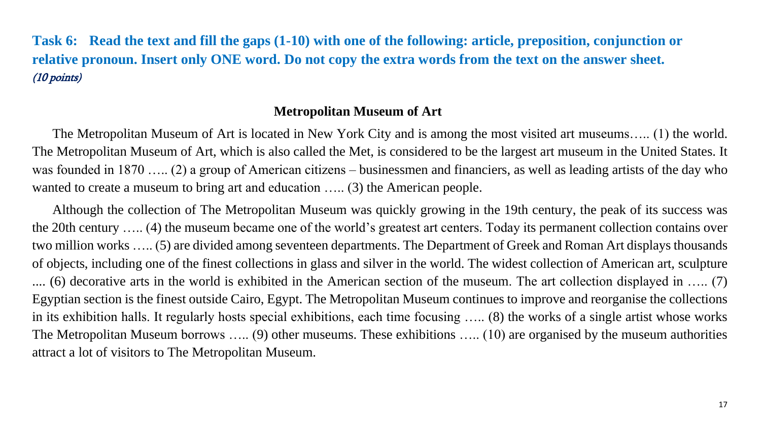**Task 6: Read the text and fill the gaps (1-10) with one of the following: article, preposition, conjunction or relative pronoun. Insert only ONE word. Do not copy the extra words from the text on the answer sheet.** (10 points)

## **Metropolitan Museum of Art**

 The Metropolitan Museum of Art is located in New York City and is among the most visited art museums….. (1) the world. The Metropolitan Museum of Art, which is also called the Met, is considered to be the largest art museum in the United States. It was founded in 1870 ….. (2) a group of American citizens – businessmen and financiers, as well as leading artists of the day who wanted to create a museum to bring art and education ….. (3) the American people.

 Although the collection of The Metropolitan Museum was quickly growing in the 19th century, the peak of its success was the 20th century ….. (4) the museum became one of the world's greatest art centers. Today its permanent collection contains over two million works ….. (5) are divided among seventeen departments. The Department of Greek and Roman Art displays thousands of objects, including one of the finest collections in glass and silver in the world. The widest collection of American art, sculpture .... (6) decorative arts in the world is exhibited in the American section of the museum. The art collection displayed in ….. (7) Egyptian section is the finest outside Cairo, Egypt. The Metropolitan Museum continues to improve and reorganise the collections in its exhibition halls. It regularly hosts special exhibitions, each time focusing ….. (8) the works of a single artist whose works The Metropolitan Museum borrows ….. (9) other museums. These exhibitions ….. (10) are organised by the museum authorities attract a lot of visitors to The Metropolitan Museum.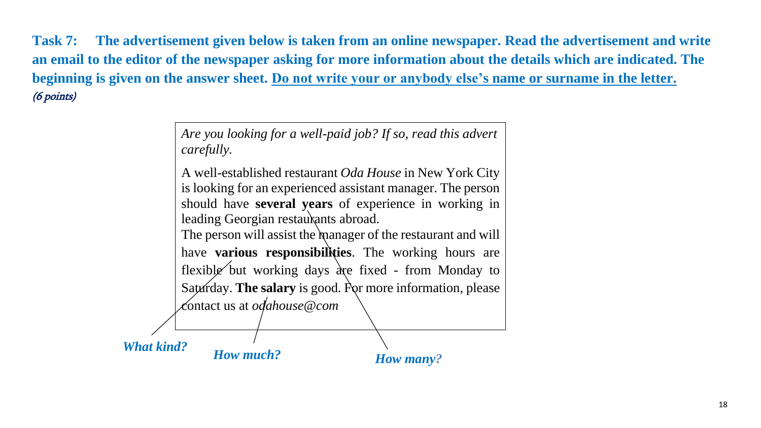**Task 7: The advertisement given below is taken from an online newspaper. Read the advertisement and write an email to the editor of the newspaper asking for more information about the details which are indicated. The beginning is given on the answer sheet. Do not write your or anybody else's name or surname in the letter.** (6 points)

> *Are you looking for a well-paid job? If so, read this advert carefully.* A well-established restaurant *Oda House* in New York City

is looking for an experienced assistant manager. The person should have **several years** of experience in working in leading Georgian restaurants abroad.

The person will assist the manager of the restaurant and will have **various responsibilities**. The working hours are flexible but working days are fixed - from Monday to Saturday. **The salary** is good. For more information, please contact us at *odahouse@com*

*What kind? How much?*

*How many?*